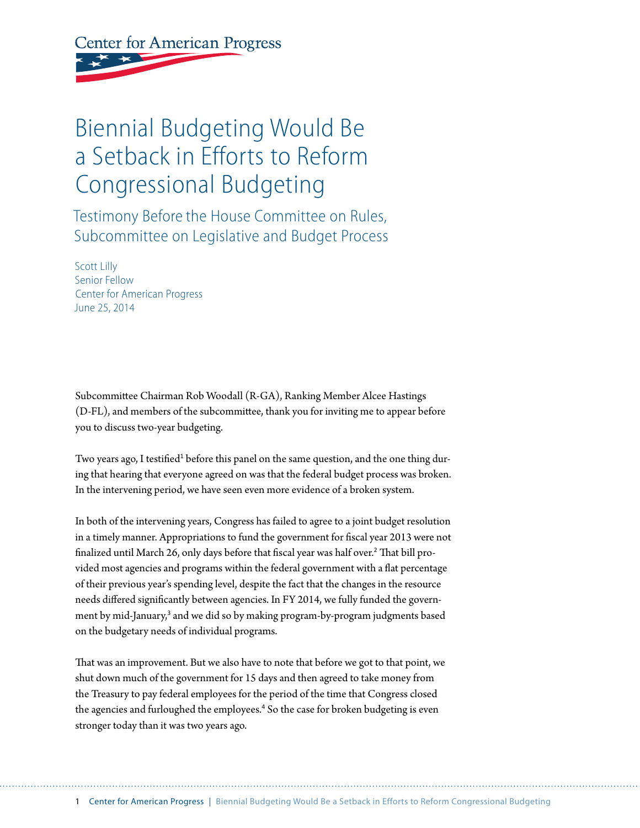## **Center for American Progress**

## Biennial Budgeting Would Be a Setback in Efforts to Reform Congressional Budgeting

Testimony Before the House Committee on Rules, Subcommittee on Legislative and Budget Process

Scott Lilly Senior Fellow Center for American Progress June 25, 2014

Subcommittee Chairman Rob Woodall (R-GA), Ranking Member Alcee Hastings (D-FL), and members of the subcommittee, thank you for inviting me to appear before you to discuss two-year budgeting.

Two years ago, I testified<sup>1</sup> before this panel on the same question, and the one thing during that hearing that everyone agreed on was that the federal budget process was broken. In the intervening period, we have seen even more evidence of a broken system.

In both of the intervening years, Congress has failed to agree to a joint budget resolution in a timely manner. Appropriations to fund the government for fiscal year 2013 were not finalized until March 26, only days before that fiscal year was half over.<sup>2</sup> That bill provided most agencies and programs within the federal government with a flat percentage of their previous year's spending level, despite the fact that the changes in the resource needs differed significantly between agencies. In FY 2014, we fully funded the government by mid-January,<sup>3</sup> and we did so by making program-by-program judgments based on the budgetary needs of individual programs.

That was an improvement. But we also have to note that before we got to that point, we shut down much of the government for 15 days and then agreed to take money from the Treasury to pay federal employees for the period of the time that Congress closed the agencies and furloughed the employees.<sup>4</sup> So the case for broken budgeting is even stronger today than it was two years ago.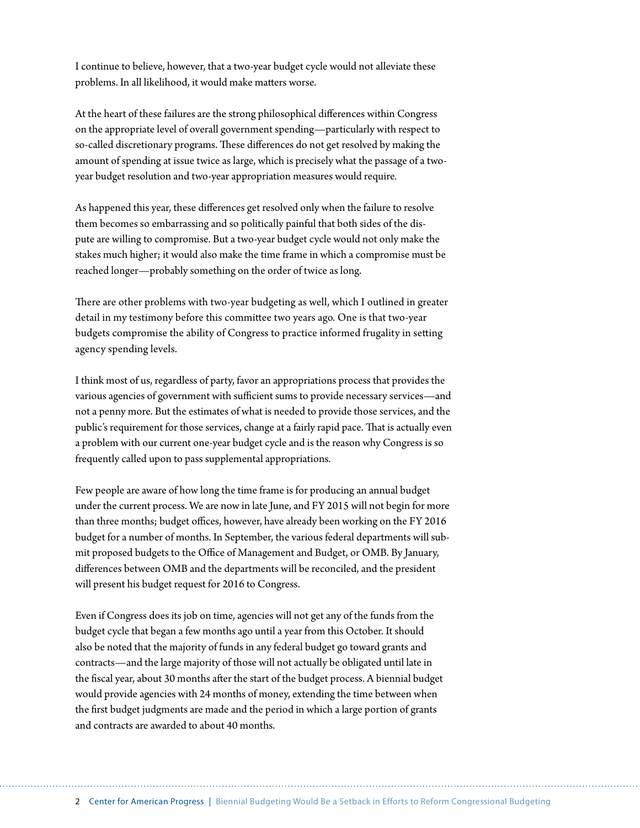I continue to believe, however, that a two-year budget cycle would not alleviate these problems. In all likelihood, it would make matters worse.

At the heart of these failures are the strong philosophical differences within Congress on the appropriate level of overall government spending—particularly with respect to so-called discretionary programs. These differences do not get resolved by making the amount of spending at issue twice as large, which is precisely what the passage of a twoyear budget resolution and two-year appropriation measures would require.

As happened this year, these differences get resolved only when the failure to resolve them becomes so embarrassing and so politically painful that both sides of the dispute are willing to compromise. But a two-year budget cycle would not only make the stakes much higher; it would also make the time frame in which a compromise must be reached longer—probably something on the order of twice as long.

There are other problems with two-year budgeting as well, which I outlined in greater detail in my testimony before this committee two years ago. One is that two-year budgets compromise the ability of Congress to practice informed frugality in setting agency spending levels.

I think most of us, regardless of party, favor an appropriations process that provides the various agencies of government with sufficient sums to provide necessary services—and not a penny more. But the estimates of what is needed to provide those services, and the public's requirement for those services, change at a fairly rapid pace. That is actually even a problem with our current one-year budget cycle and is the reason why Congress is so frequently called upon to pass supplemental appropriations.

Few people are aware of how long the time frame is for producing an annual budget under the current process. We are now in late June, and FY 2015 will not begin for more than three months; budget offices, however, have already been working on the FY 2016 budget for a number of months. In September, the various federal departments will submit proposed budgets to the Office of Management and Budget, or OMB. By January, differences between OMB and the departments will be reconciled, and the president will present his budget request for 2016 to Congress.

Even if Congress does its job on time, agencies will not get any of the funds from the budget cycle that began a few months ago until a year from this October. It should also be noted that the majority of funds in any federal budget go toward grants and contracts—and the large majority of those will not actually be obligated until late in the fiscal year, about 30 months after the start of the budget process. A biennial budget would provide agencies with 24 months of money, extending the time between when the first budget judgments are made and the period in which a large portion of grants and contracts are awarded to about 40 months.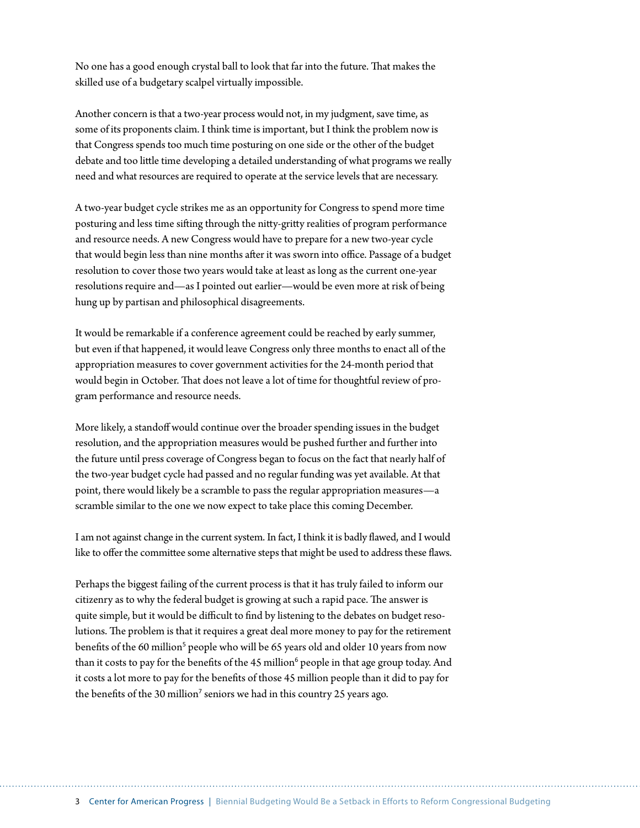No one has a good enough crystal ball to look that far into the future. That makes the skilled use of a budgetary scalpel virtually impossible.

Another concern is that a two-year process would not, in my judgment, save time, as some of its proponents claim. I think time is important, but I think the problem now is that Congress spends too much time posturing on one side or the other of the budget debate and too little time developing a detailed understanding of what programs we really need and what resources are required to operate at the service levels that are necessary.

A two-year budget cycle strikes me as an opportunity for Congress to spend more time posturing and less time sifting through the nitty-gritty realities of program performance and resource needs. A new Congress would have to prepare for a new two-year cycle that would begin less than nine months after it was sworn into office. Passage of a budget resolution to cover those two years would take at least as long as the current one-year resolutions require and—as I pointed out earlier—would be even more at risk of being hung up by partisan and philosophical disagreements.

It would be remarkable if a conference agreement could be reached by early summer, but even if that happened, it would leave Congress only three months to enact all of the appropriation measures to cover government activities for the 24-month period that would begin in October. That does not leave a lot of time for thoughtful review of program performance and resource needs.

More likely, a standoff would continue over the broader spending issues in the budget resolution, and the appropriation measures would be pushed further and further into the future until press coverage of Congress began to focus on the fact that nearly half of the two-year budget cycle had passed and no regular funding was yet available. At that point, there would likely be a scramble to pass the regular appropriation measures—a scramble similar to the one we now expect to take place this coming December.

I am not against change in the current system. In fact, I think it is badly flawed, and I would like to offer the committee some alternative steps that might be used to address these flaws.

Perhaps the biggest failing of the current process is that it has truly failed to inform our citizenry as to why the federal budget is growing at such a rapid pace. The answer is quite simple, but it would be difficult to find by listening to the debates on budget resolutions. The problem is that it requires a great deal more money to pay for the retirement benefits of the 60 million<sup>5</sup> people who will be 65 years old and older 10 years from now than it costs to pay for the benefits of the 45 million<sup>6</sup> people in that age group today. And it costs a lot more to pay for the benefits of those 45 million people than it did to pay for the benefits of the 30 million<sup>7</sup> seniors we had in this country 25 years ago.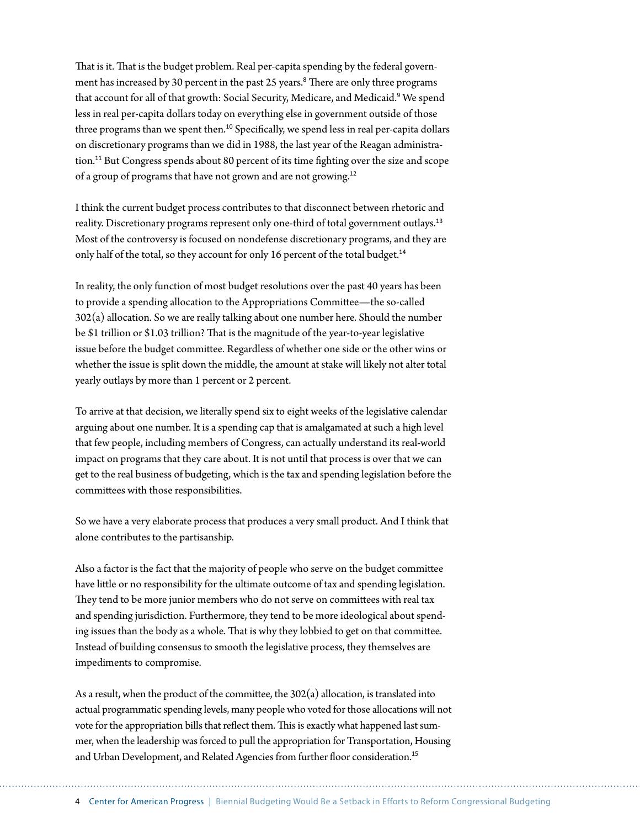That is it. That is the budget problem. Real per-capita spending by the federal government has increased by 30 percent in the past 25 years.<sup>8</sup> There are only three programs that account for all of that growth: Social Security, Medicare, and Medicaid.<sup>9</sup> We spend less in real per-capita dollars today on everything else in government outside of those three programs than we spent then.<sup>10</sup> Specifically, we spend less in real per-capita dollars on discretionary programs than we did in 1988, the last year of the Reagan administration.<sup>11</sup> But Congress spends about 80 percent of its time fighting over the size and scope of a group of programs that have not grown and are not growing.<sup>12</sup>

I think the current budget process contributes to that disconnect between rhetoric and reality. Discretionary programs represent only one-third of total government outlays.<sup>13</sup> Most of the controversy is focused on nondefense discretionary programs, and they are only half of the total, so they account for only 16 percent of the total budget.<sup>14</sup>

In reality, the only function of most budget resolutions over the past 40 years has been to provide a spending allocation to the Appropriations Committee—the so-called 302(a) allocation. So we are really talking about one number here. Should the number be \$1 trillion or \$1.03 trillion? That is the magnitude of the year-to-year legislative issue before the budget committee. Regardless of whether one side or the other wins or whether the issue is split down the middle, the amount at stake will likely not alter total yearly outlays by more than 1 percent or 2 percent.

To arrive at that decision, we literally spend six to eight weeks of the legislative calendar arguing about one number. It is a spending cap that is amalgamated at such a high level that few people, including members of Congress, can actually understand its real-world impact on programs that they care about. It is not until that process is over that we can get to the real business of budgeting, which is the tax and spending legislation before the committees with those responsibilities.

So we have a very elaborate process that produces a very small product. And I think that alone contributes to the partisanship.

Also a factor is the fact that the majority of people who serve on the budget committee have little or no responsibility for the ultimate outcome of tax and spending legislation. They tend to be more junior members who do not serve on committees with real tax and spending jurisdiction. Furthermore, they tend to be more ideological about spending issues than the body as a whole. That is why they lobbied to get on that committee. Instead of building consensus to smooth the legislative process, they themselves are impediments to compromise.

As a result, when the product of the committee, the  $302(a)$  allocation, is translated into actual programmatic spending levels, many people who voted for those allocations will not vote for the appropriation bills that reflect them. This is exactly what happened last summer, when the leadership was forced to pull the appropriation for Transportation, Housing and Urban Development, and Related Agencies from further floor consideration.<sup>15</sup>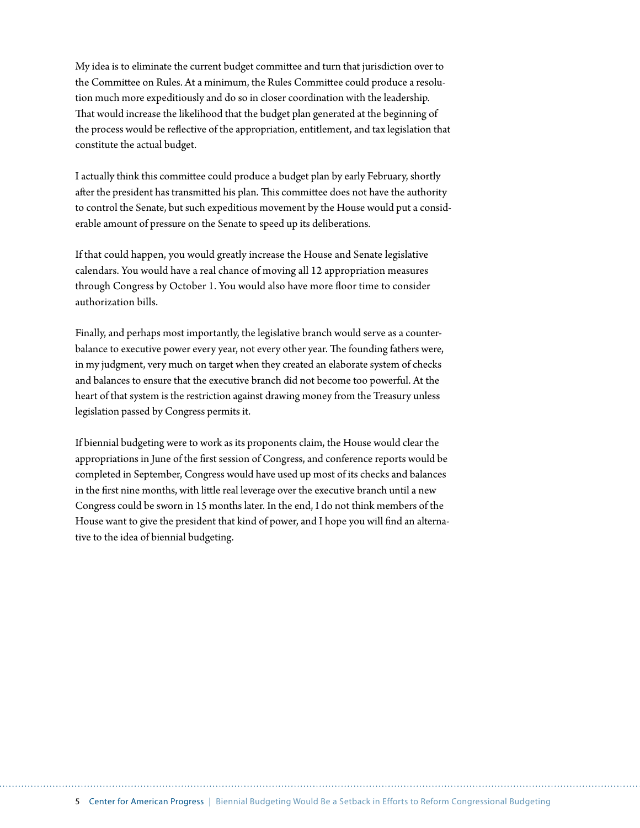My idea is to eliminate the current budget committee and turn that jurisdiction over to the Committee on Rules. At a minimum, the Rules Committee could produce a resolution much more expeditiously and do so in closer coordination with the leadership. That would increase the likelihood that the budget plan generated at the beginning of the process would be reflective of the appropriation, entitlement, and tax legislation that constitute the actual budget.

I actually think this committee could produce a budget plan by early February, shortly after the president has transmitted his plan. This committee does not have the authority to control the Senate, but such expeditious movement by the House would put a considerable amount of pressure on the Senate to speed up its deliberations.

If that could happen, you would greatly increase the House and Senate legislative calendars. You would have a real chance of moving all 12 appropriation measures through Congress by October 1. You would also have more floor time to consider authorization bills.

Finally, and perhaps most importantly, the legislative branch would serve as a counterbalance to executive power every year, not every other year. The founding fathers were, in my judgment, very much on target when they created an elaborate system of checks and balances to ensure that the executive branch did not become too powerful. At the heart of that system is the restriction against drawing money from the Treasury unless legislation passed by Congress permits it.

If biennial budgeting were to work as its proponents claim, the House would clear the appropriations in June of the first session of Congress, and conference reports would be completed in September, Congress would have used up most of its checks and balances in the first nine months, with little real leverage over the executive branch until a new Congress could be sworn in 15 months later. In the end, I do not think members of the House want to give the president that kind of power, and I hope you will find an alternative to the idea of biennial budgeting.